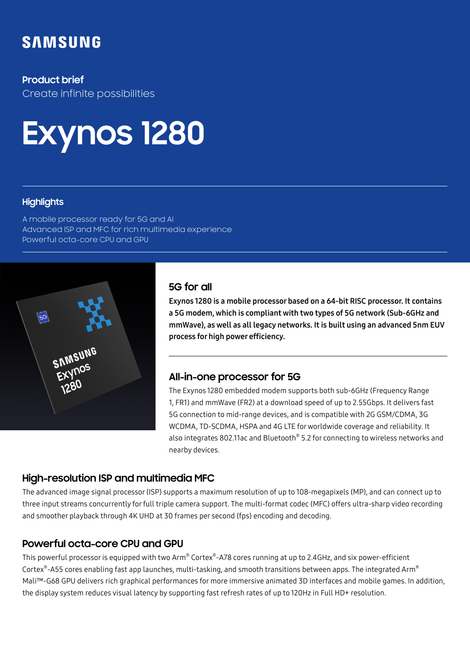## **SAMSUNG**

#### **Product brief**

Create infinite possibilities

# **Exynos 1280**

#### **Highlights**

A mobile processor ready for 5G and AI Advanced ISP and MFC for rich multimedia experience Powerful octa-core CPU and GPU



#### **5G for all**

Exynos 1280 is a mobile processor based on a 64-bit RISC processor. It contains a 5G modem, which is compliant with two types of 5G network (Sub-6GHz and mmWave), as well as all legacy networks. It is built using an advanced 5nm EUV process for high power efficiency.

### **All-in-one processor for 5G**

The Exynos 1280 embedded modem supports both sub-6GHz (Frequency Range 1, FR1) and mmWave (FR2) at a download speed of up to 2.55Gbps. It delivers fast 5G connection to mid-range devices, and is compatible with 2G GSM/CDMA, 3G WCDMA, TD-SCDMA, HSPA and 4G LTE for worldwide coverage and reliability. It also integrates 802.11ac and Bluetooth® 5.2 for connecting to wireless networks and nearby devices.

### **High-resolution ISP and multimedia MFC**

The advanced image signal processor (ISP) supports a maximum resolution of up to 108-megapixels (MP), and can connect up to three input streams concurrently for full triple camera support. The multi-format codec (MFC) offers ultra-sharp video recording and smoother playback through 4K UHD at 30 frames per second (fps) encoding and decoding.

### **Powerful octa-core CPU and GPU**

This powerful processor is equipped with two Arm® Cortex®-A78 cores running at up to 2.4GHz, and six power-efficient Cortex®-A55 cores enabling fast app launches, multi-tasking, and smooth transitions between apps. The integrated Arm® Mali™-G68 GPU delivers rich graphical performances for more immersive animated 3D interfaces and mobile games. In addition, the display system reduces visual latency by supporting fast refresh rates of up to 120Hz in Full HD+ resolution.